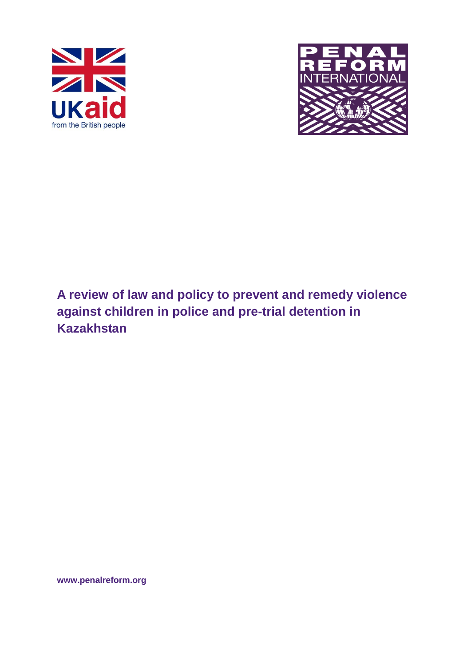



# **A review of law and policy to prevent and remedy violence against children in police and pre-trial detention in Kazakhstan**

**www.penalreform.org**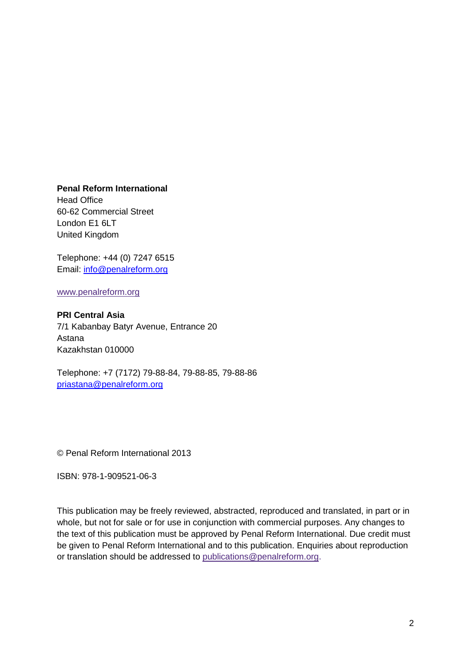**Penal Reform International**

Head Office 60-62 Commercial Street London E1 6LT United Kingdom

Telephone: +44 (0) 7247 6515 Email: [info@penalreform.org](mailto:info@penalreform.org)

[www.penalreform.org](http://www.penalreform.org/)

#### **PRI Central Asia**

7/1 Kabanbay Batyr Avenue, Entrance 20 Astana Kazakhstan 010000

Telephone: +7 (7172) 79-88-84, 79-88-85, 79-88-86 [priastana@penalreform.org](mailto:priastana@penalreform.org)

© Penal Reform International 2013

ISBN: 978-1-909521-06-3

This publication may be freely reviewed, abstracted, reproduced and translated, in part or in whole, but not for sale or for use in conjunction with commercial purposes. Any changes to the text of this publication must be approved by Penal Reform International. Due credit must be given to Penal Reform International and to this publication. Enquiries about reproduction or translation should be addressed to [publications@penalreform.org.](mailto:publications@penalreform.org)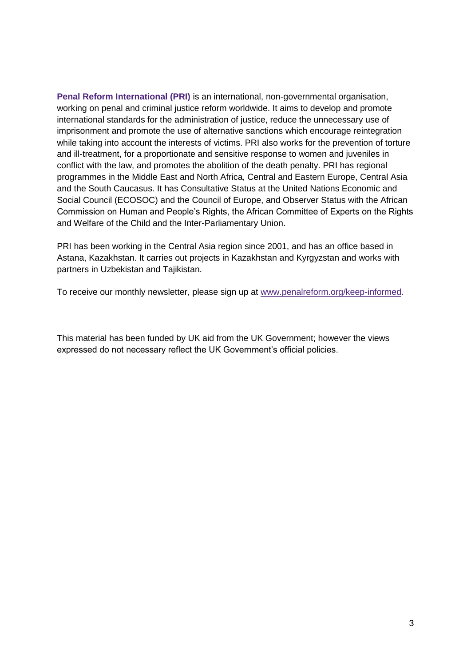**Penal Reform International (PRI)** is an international, non-governmental organisation, working on penal and criminal justice reform worldwide. It aims to develop and promote international standards for the administration of justice, reduce the unnecessary use of imprisonment and promote the use of alternative sanctions which encourage reintegration while taking into account the interests of victims. PRI also works for the prevention of torture and ill-treatment, for a proportionate and sensitive response to women and juveniles in conflict with the law, and promotes the abolition of the death penalty. PRI has regional programmes in the Middle East and North Africa, Central and Eastern Europe, Central Asia and the South Caucasus. It has Consultative Status at the United Nations Economic and Social Council (ECOSOC) and the Council of Europe, and Observer Status with the African Commission on Human and People's Rights, the African Committee of Experts on the Rights and Welfare of the Child and the Inter-Parliamentary Union.

PRI has been working in the Central Asia region since 2001, and has an office based in Astana, Kazakhstan. It carries out projects in Kazakhstan and Kyrgyzstan and works with partners in Uzbekistan and Tajikistan.

To receive our monthly newsletter, please sign up at [www.penalreform.org/keep-informed.](http://www.penalreform.org/keep-informed)

This material has been funded by UK aid from the UK Government; however the views expressed do not necessary reflect the UK Government's official policies.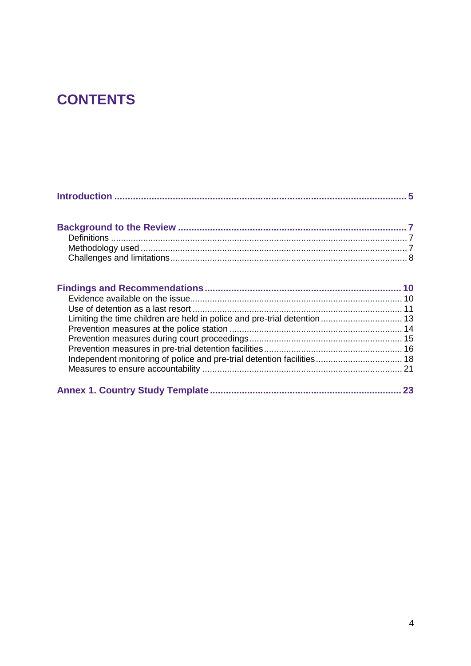# **CONTENTS**

| Limiting the time children are held in police and pre-trial detention 13 |  |
|--------------------------------------------------------------------------|--|
|                                                                          |  |
|                                                                          |  |
|                                                                          |  |
| Independent monitoring of police and pre-trial detention facilities 18   |  |
|                                                                          |  |
|                                                                          |  |
|                                                                          |  |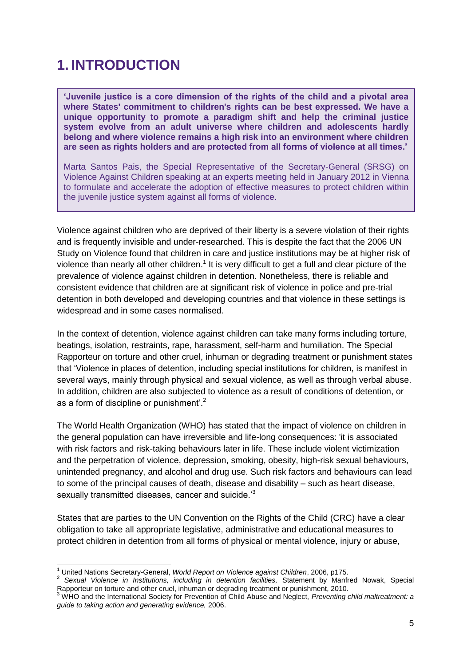# <span id="page-4-0"></span>**1. INTRODUCTION**

**'Juvenile justice is a core dimension of the rights of the child and a pivotal area where States' commitment to children's rights can be best expressed. We have a unique opportunity to promote a paradigm shift and help the criminal justice system evolve from an adult universe where children and adolescents hardly belong and where violence remains a high risk into an environment where children are seen as rights holders and are protected from all forms of violence at all times.'**

Marta Santos Pais, the Special Representative of the Secretary-General (SRSG) on Violence Against Children speaking at an experts meeting held in January 2012 in Vienna to formulate and accelerate the adoption of effective measures to protect children within the juvenile justice system against all forms of violence.

Violence against children who are deprived of their liberty is a severe violation of their rights and is frequently invisible and under-researched. This is despite the fact that the 2006 UN Study on Violence found that children in care and justice institutions may be at higher risk of violence than nearly all other children.<sup>1</sup> It is very difficult to get a full and clear picture of the prevalence of violence against children in detention. Nonetheless, there is reliable and consistent evidence that children are at significant risk of violence in police and pre-trial detention in both developed and developing countries and that violence in these settings is widespread and in some cases normalised.

In the context of detention, violence against children can take many forms including torture, beatings, isolation, restraints, rape, harassment, self-harm and humiliation. The Special Rapporteur on torture and other cruel, inhuman or degrading treatment or punishment states that 'Violence in places of detention, including special institutions for children, is manifest in several ways, mainly through physical and sexual violence, as well as through verbal abuse. In addition, children are also subjected to violence as a result of conditions of detention, or as a form of discipline or punishment'. $2^2$ 

The World Health Organization (WHO) has stated that the impact of violence on children in the general population can have irreversible and life-long consequences: 'it is associated with risk factors and risk-taking behaviours later in life. These include violent victimization and the perpetration of violence, depression, smoking, obesity, high-risk sexual behaviours, unintended pregnancy, and alcohol and drug use. Such risk factors and behaviours can lead to some of the principal causes of death, disease and disability – such as heart disease, sexually transmitted diseases, cancer and suicide.<sup>3</sup>

States that are parties to the UN Convention on the Rights of the Child (CRC) have a clear obligation to take all appropriate legislative, administrative and educational measures to protect children in detention from all forms of physical or mental violence, injury or abuse,

 $\overline{1}$ 

<sup>1</sup> United Nations Secretary-General, *World Report on Violence against Children*, 2006, p175.

<sup>2</sup> *Sexual Violence in Institutions, including in detention facilities,* Statement by Manfred Nowak, Special Rapporteur on torture and other cruel, inhuman or degrading treatment or punishment, 2010.

<sup>3</sup> WHO and the International Society for Prevention of Child Abuse and Neglect, *Preventing child maltreatment: a guide to taking action and generating evidence,* 2006.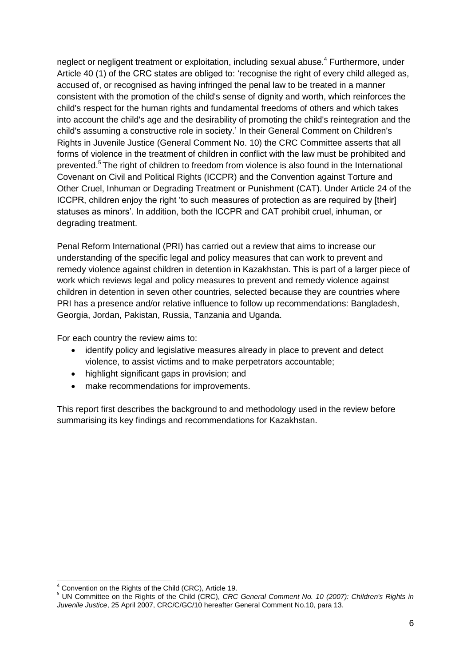neglect or negligent treatment or exploitation, including sexual abuse.<sup>4</sup> Furthermore, under Article 40 (1) of the CRC states are obliged to: 'recognise the right of every child alleged as, accused of, or recognised as having infringed the penal law to be treated in a manner consistent with the promotion of the child's sense of dignity and worth, which reinforces the child's respect for the human rights and fundamental freedoms of others and which takes into account the child's age and the desirability of promoting the child's reintegration and the child's assuming a constructive role in society.' In their General Comment on Children's Rights in Juvenile Justice (General Comment No. 10) the CRC Committee asserts that all forms of violence in the treatment of children in conflict with the law must be prohibited and prevented.<sup>5</sup> The right of children to freedom from violence is also found in the International Covenant on Civil and Political Rights (ICCPR) and the Convention against Torture and Other Cruel, Inhuman or Degrading Treatment or Punishment (CAT). Under Article 24 of the ICCPR, children enjoy the right 'to such measures of protection as are required by [their] statuses as minors'. In addition, both the ICCPR and CAT prohibit cruel, inhuman, or degrading treatment.

Penal Reform International (PRI) has carried out a review that aims to increase our understanding of the specific legal and policy measures that can work to prevent and remedy violence against children in detention in Kazakhstan. This is part of a larger piece of work which reviews legal and policy measures to prevent and remedy violence against children in detention in seven other countries, selected because they are countries where PRI has a presence and/or relative influence to follow up recommendations: Bangladesh, Georgia, Jordan, Pakistan, Russia, Tanzania and Uganda.

For each country the review aims to:

- identify policy and legislative measures already in place to prevent and detect violence, to assist victims and to make perpetrators accountable;
- highlight significant gaps in provision; and
- make recommendations for improvements.

This report first describes the background to and methodology used in the review before summarising its key findings and recommendations for Kazakhstan.

<sup>-</sup><sup>4</sup> Convention on the Rights of the Child (CRC), Article 19.

<sup>5</sup> UN Committee on the Rights of the Child (CRC), *CRC General Comment No. 10 (2007): Children's Rights in Juvenile Justice*, 25 April 2007, CRC/C/GC/10 hereafter General Comment No.10, para 13.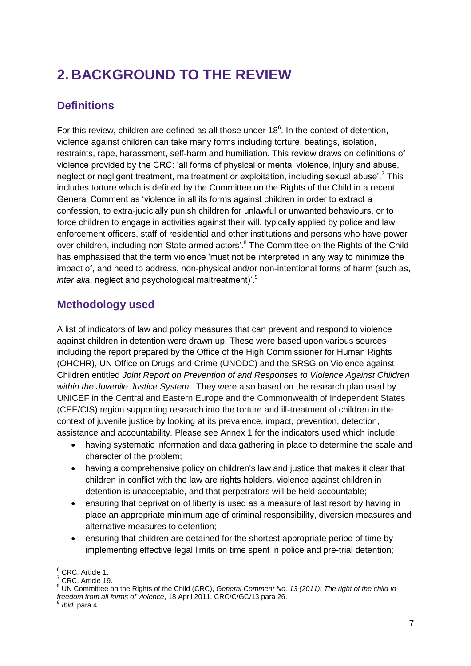# <span id="page-6-0"></span>**2. BACKGROUND TO THE REVIEW**

# <span id="page-6-1"></span>**Definitions**

For this review, children are defined as all those under  $18<sup>6</sup>$ . In the context of detention, violence against children can take many forms including torture, beatings, isolation, restraints, rape, harassment, self-harm and humiliation. This review draws on definitions of violence provided by the CRC: 'all forms of physical or mental violence, injury and abuse, neglect or negligent treatment, maltreatment or exploitation, including sexual abuse'.<sup>7</sup> This includes torture which is defined by the Committee on the Rights of the Child in a recent General Comment as 'violence in all its forms against children in order to extract a confession, to extra-judicially punish children for unlawful or unwanted behaviours, or to force children to engage in activities against their will, typically applied by police and law enforcement officers, staff of residential and other institutions and persons who have power over children, including non-State armed actors'.<sup>8</sup> The Committee on the Rights of the Child has emphasised that the term violence 'must not be interpreted in any way to minimize the impact of, and need to address, non-physical and/or non-intentional forms of harm (such as, *inter alia*, neglect and psychological maltreatment)<sup>'.9</sup>

# <span id="page-6-2"></span>**Methodology used**

A list of indicators of law and policy measures that can prevent and respond to violence against children in detention were drawn up. These were based upon various sources including the report prepared by the Office of the High Commissioner for Human Rights (OHCHR), UN Office on Drugs and Crime (UNODC) and the SRSG on Violence against Children entitled *Joint Report on Prevention of and Responses to Violence Against Children within the Juvenile Justice System.* They were also based on the research plan used by UNICEF in the Central and Eastern Europe and the Commonwealth of Independent States (CEE/CIS) region supporting research into the torture and ill-treatment of children in the context of juvenile justice by looking at its prevalence, impact, prevention, detection, assistance and accountability. Please see Annex 1 for the indicators used which include:

- having systematic information and data gathering in place to determine the scale and character of the problem;
- having a comprehensive policy on children's law and justice that makes it clear that children in conflict with the law are rights holders, violence against children in detention is unacceptable, and that perpetrators will be held accountable;
- ensuring that deprivation of liberty is used as a measure of last resort by having in place an appropriate minimum age of criminal responsibility, diversion measures and alternative measures to detention;
- ensuring that children are detained for the shortest appropriate period of time by implementing effective legal limits on time spent in police and pre-trial detention;

 $\overline{a}$  $6$  CRC, Article 1.

CRC, Article 19.

<sup>8</sup> UN Committee on the Rights of the Child (CRC), *General Comment No. 13 (2011): The right of the child to freedom from all forms of violence*, 18 April 2011, CRC/C/GC/13 para 26. 9

*Ibid.* para 4.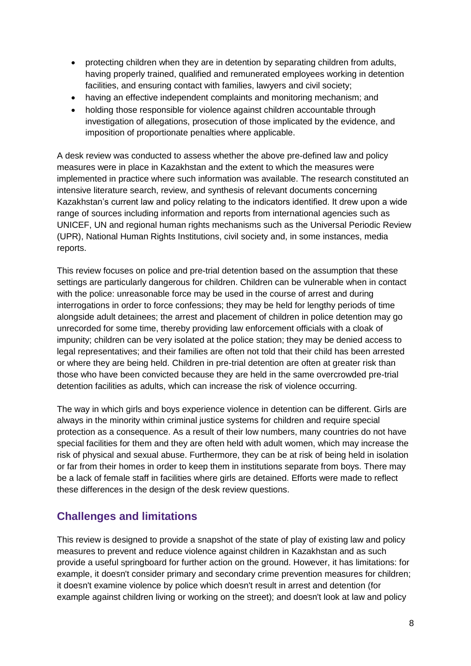- protecting children when they are in detention by separating children from adults, having properly trained, qualified and remunerated employees working in detention facilities, and ensuring contact with families, lawyers and civil society;
- having an effective independent complaints and monitoring mechanism; and
- holding those responsible for violence against children accountable through investigation of allegations, prosecution of those implicated by the evidence, and imposition of proportionate penalties where applicable.

A desk review was conducted to assess whether the above pre-defined law and policy measures were in place in Kazakhstan and the extent to which the measures were implemented in practice where such information was available. The research constituted an intensive literature search, review, and synthesis of relevant documents concerning Kazakhstan's current law and policy relating to the indicators identified. It drew upon a wide range of sources including information and reports from international agencies such as UNICEF, UN and regional human rights mechanisms such as the Universal Periodic Review (UPR), National Human Rights Institutions, civil society and, in some instances, media reports.

This review focuses on police and pre-trial detention based on the assumption that these settings are particularly dangerous for children. Children can be vulnerable when in contact with the police: unreasonable force may be used in the course of arrest and during interrogations in order to force confessions; they may be held for lengthy periods of time alongside adult detainees; the arrest and placement of children in police detention may go unrecorded for some time, thereby providing law enforcement officials with a cloak of impunity; children can be very isolated at the police station; they may be denied access to legal representatives; and their families are often not told that their child has been arrested or where they are being held. Children in pre-trial detention are often at greater risk than those who have been convicted because they are held in the same overcrowded pre-trial detention facilities as adults, which can increase the risk of violence occurring.

The way in which girls and boys experience violence in detention can be different. Girls are always in the minority within criminal justice systems for children and require special protection as a consequence. As a result of their low numbers, many countries do not have special facilities for them and they are often held with adult women, which may increase the risk of physical and sexual abuse. Furthermore, they can be at risk of being held in isolation or far from their homes in order to keep them in institutions separate from boys. There may be a lack of female staff in facilities where girls are detained. Efforts were made to reflect these differences in the design of the desk review questions.

## <span id="page-7-0"></span>**Challenges and limitations**

This review is designed to provide a snapshot of the state of play of existing law and policy measures to prevent and reduce violence against children in Kazakhstan and as such provide a useful springboard for further action on the ground. However, it has limitations: for example, it doesn't consider primary and secondary crime prevention measures for children; it doesn't examine violence by police which doesn't result in arrest and detention (for example against children living or working on the street); and doesn't look at law and policy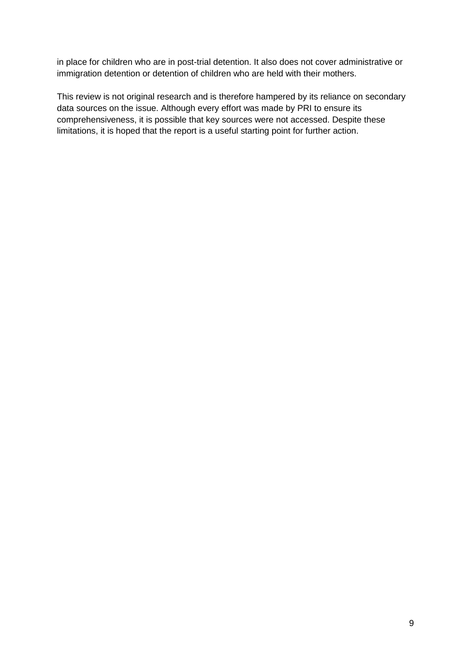in place for children who are in post-trial detention. It also does not cover administrative or immigration detention or detention of children who are held with their mothers.

This review is not original research and is therefore hampered by its reliance on secondary data sources on the issue. Although every effort was made by PRI to ensure its comprehensiveness, it is possible that key sources were not accessed. Despite these limitations, it is hoped that the report is a useful starting point for further action.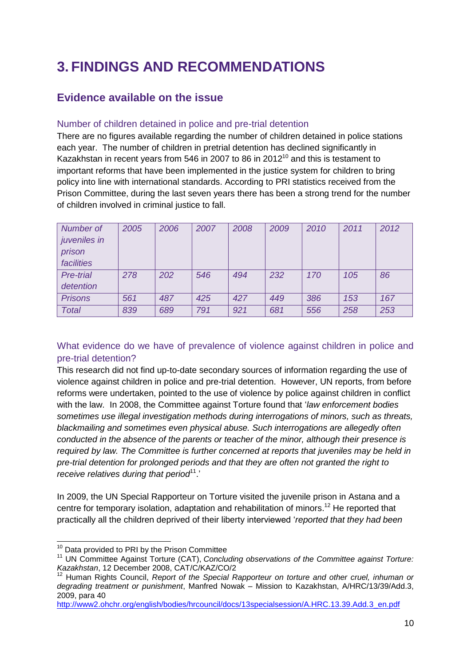# <span id="page-9-0"></span>**3. FINDINGS AND RECOMMENDATIONS**

## <span id="page-9-1"></span>**Evidence available on the issue**

## Number of children detained in police and pre-trial detention

There are no figures available regarding the number of children detained in police stations each year. The number of children in pretrial detention has declined significantly in Kazakhstan in recent years from 546 in 2007 to 86 in  $2012^{10}$  and this is testament to important reforms that have been implemented in the justice system for children to bring policy into line with international standards. According to PRI statistics received from the Prison Committee, during the last seven years there has been a strong trend for the number of children involved in criminal justice to fall.

| Number of<br>juveniles in<br>prison<br>facilities | 2005 | 2006 | 2007 | 2008 | 2009 | 2010 | 2011 | 2012 |
|---------------------------------------------------|------|------|------|------|------|------|------|------|
| <b>Pre-trial</b>                                  | 278  | 202  | 546  | 494  | 232  | 170  | 105  | 86   |
| detention                                         |      |      |      |      |      |      |      |      |
| <b>Prisons</b>                                    | 561  | 487  | 425  | 427  | 449  | 386  | 153  | 167  |
| Total                                             | 839  | 689  | 791  | 921  | 681  | 556  | 258  | 253  |

What evidence do we have of prevalence of violence against children in police and pre-trial detention?

This research did not find up-to-date secondary sources of information regarding the use of violence against children in police and pre-trial detention. However, UN reports, from before reforms were undertaken, pointed to the use of violence by police against children in conflict with the law. In 2008, the Committee against Torture found that '*law enforcement bodies sometimes use illegal investigation methods during interrogations of minors, such as threats, blackmailing and sometimes even physical abuse. Such interrogations are allegedly often conducted in the absence of the parents or teacher of the minor, although their presence is required by law. The Committee is further concerned at reports that juveniles may be held in pre-trial detention for prolonged periods and that they are often not granted the right to receive relatives during that period*<sup>11</sup>.

In 2009, the UN Special Rapporteur on Torture visited the juvenile prison in Astana and a centre for temporary isolation, adaptation and rehabilitation of minors.<sup>12</sup> He reported that practically all the children deprived of their liberty interviewed '*reported that they had been* 

<sup>-</sup> $10$  Data provided to PRI by the Prison Committee

<sup>11</sup> UN Committee Against Torture (CAT), *Concluding observations of the Committee against Torture: Kazakhstan*, 12 December 2008, CAT/C/KAZ/CO/2

<sup>&</sup>lt;sup>12</sup> Human Rights Council, *Report of the Special Rapporteur on torture and other cruel, inhuman or degrading treatment or punishment*, Manfred Nowak – Mission to Kazakhstan, A/HRC/13/39/Add.3, 2009, para 40

[http://www2.ohchr.org/english/bodies/hrcouncil/docs/13specialsession/A.HRC.13.39.Add.3\\_en.pdf](http://www2.ohchr.org/english/bodies/hrcouncil/docs/13specialsession/A.HRC.13.39.Add.3_en.pdf)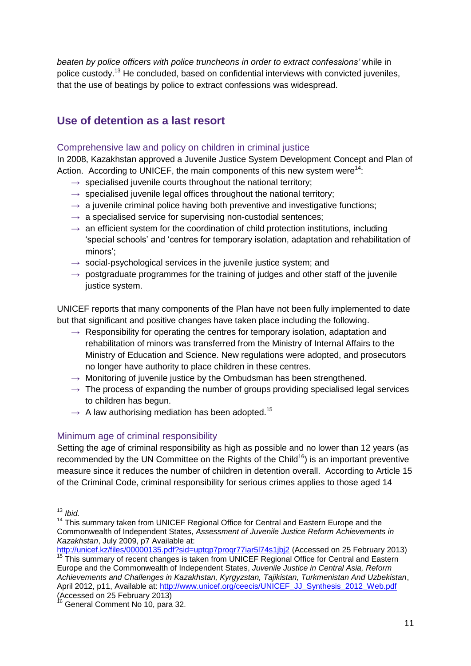*beaten by police officers with police truncheons in order to extract confessions'* while in police custody.<sup>13</sup> He concluded, based on confidential interviews with convicted juveniles, that the use of beatings by police to extract confessions was widespread.

## <span id="page-10-0"></span>**Use of detention as a last resort**

## Comprehensive law and policy on children in criminal justice

In 2008, Kazakhstan approved a Juvenile Justice System Development Concept and Plan of Action. According to UNICEF, the main components of this new system were<sup>14</sup>:

- $\rightarrow$  specialised juvenile courts throughout the national territory;
- $\rightarrow$  specialised juvenile legal offices throughout the national territory;
- $\rightarrow$  a juvenile criminal police having both preventive and investigative functions;
- $\rightarrow$  a specialised service for supervising non-custodial sentences;
- $\rightarrow$  an efficient system for the coordination of child protection institutions, including 'special schools' and 'centres for temporary isolation, adaptation and rehabilitation of minors';
- $\rightarrow$  social-psychological services in the juvenile justice system; and
- $\rightarrow$  postgraduate programmes for the training of judges and other staff of the juvenile justice system.

UNICEF reports that many components of the Plan have not been fully implemented to date but that significant and positive changes have taken place including the following.

- $\rightarrow$  Responsibility for operating the centres for temporary isolation, adaptation and rehabilitation of minors was transferred from the Ministry of Internal Affairs to the Ministry of Education and Science. New regulations were adopted, and prosecutors no longer have authority to place children in these centres.
- $\rightarrow$  Monitoring of juvenile justice by the Ombudsman has been strengthened.
- $\rightarrow$  The process of expanding the number of groups providing specialised legal services to children has begun.
- $\rightarrow$  A law authorising mediation has been adopted.<sup>15</sup>

## Minimum age of criminal responsibility

Setting the age of criminal responsibility as high as possible and no lower than 12 years (as recommended by the UN Committee on the Rights of the Child<sup>16</sup>) is an important preventive measure since it reduces the number of children in detention overall. According to Article 15 of the Criminal Code, criminal responsibility for serious crimes applies to those aged 14

<sup>-</sup><sup>13</sup> *Ibid.*

<sup>14</sup> This summary taken from UNICEF Regional Office for Central and Eastern Europe and the Commonwealth of Independent States, *Assessment of Juvenile Justice Reform Achievements in Kazakhstan*, July 2009, p7 Available at:

<http://unicef.kz/files/00000135.pdf?sid=uptqp7proqr77iar5l74s1jbj2> (Accessed on 25 February 2013)  $\frac{15}{15}$  This summary of recent changes is taken from UNICEF Regional Office for Central and Eastern Europe and the Commonwealth of Independent States, *Juvenile Justice in Central Asia, Reform Achievements and Challenges in Kazakhstan, Kyrgyzstan, Tajikistan, Turkmenistan And Uzbekistan*, April 2012, p11, Available at: [http://www.unicef.org/ceecis/UNICEF\\_JJ\\_Synthesis\\_2012\\_Web.pdf](http://www.unicef.org/ceecis/UNICEF_JJ_Synthesis_2012_Web.pdf) Accessed on 25 February 2013)

General Comment No 10, para 32.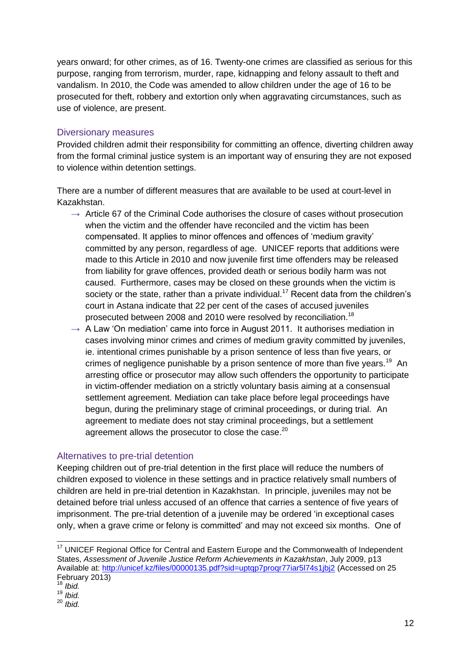years onward; for other crimes, as of 16. Twenty-one crimes are classified as serious for this purpose, ranging from terrorism, murder, rape, kidnapping and felony assault to theft and vandalism. In 2010, the Code was amended to allow children under the age of 16 to be prosecuted for theft, robbery and extortion only when aggravating circumstances, such as use of violence, are present.

#### Diversionary measures

Provided children admit their responsibility for committing an offence, diverting children away from the formal criminal justice system is an important way of ensuring they are not exposed to violence within detention settings.

There are a number of different measures that are available to be used at court-level in Kazakhstan.

- $\rightarrow$  Article 67 of the Criminal Code authorises the closure of cases without prosecution when the victim and the offender have reconciled and the victim has been compensated. It applies to minor offences and offences of 'medium gravity' committed by any person, regardless of age. UNICEF reports that additions were made to this Article in 2010 and now juvenile first time offenders may be released from liability for grave offences, provided death or serious bodily harm was not caused. Furthermore, cases may be closed on these grounds when the victim is society or the state, rather than a private individual.<sup>17</sup> Recent data from the children's court in Astana indicate that 22 per cent of the cases of accused juveniles prosecuted between 2008 and 2010 were resolved by reconciliation.<sup>18</sup>
- $\rightarrow$  A Law 'On mediation' came into force in August 2011. It authorises mediation in cases involving minor crimes and crimes of medium gravity committed by juveniles, ie. intentional crimes punishable by a prison sentence of less than five years, or crimes of negligence punishable by a prison sentence of more than five years.<sup>19</sup> An arresting office or prosecutor may allow such offenders the opportunity to participate in victim-offender mediation on a strictly voluntary basis aiming at a consensual settlement agreement. Mediation can take place before legal proceedings have begun, during the preliminary stage of criminal proceedings, or during trial. An agreement to mediate does not stay criminal proceedings, but a settlement agreement allows the prosecutor to close the case. $^{20}$

## Alternatives to pre-trial detention

Keeping children out of pre-trial detention in the first place will reduce the numbers of children exposed to violence in these settings and in practice relatively small numbers of children are held in pre-trial detention in Kazakhstan. In principle, juveniles may not be detained before trial unless accused of an offence that carries a sentence of five years of imprisonment. The pre-trial detention of a juvenile may be ordered 'in exceptional cases only, when a grave crime or felony is committed' and may not exceed six months. One of

-

 $17$  UNICEF Regional Office for Central and Eastern Europe and the Commonwealth of Independent States, *Assessment of Juvenile Justice Reform Achievements in Kazakhstan*, July 2009, p13 Available at:<http://unicef.kz/files/00000135.pdf?sid=uptqp7proqr77iar5l74s1jbj2> (Accessed on 25 February 2013)

<sup>18</sup> *Ibid.*

<sup>19</sup> *Ibid.*

<sup>20</sup> *Ibid.*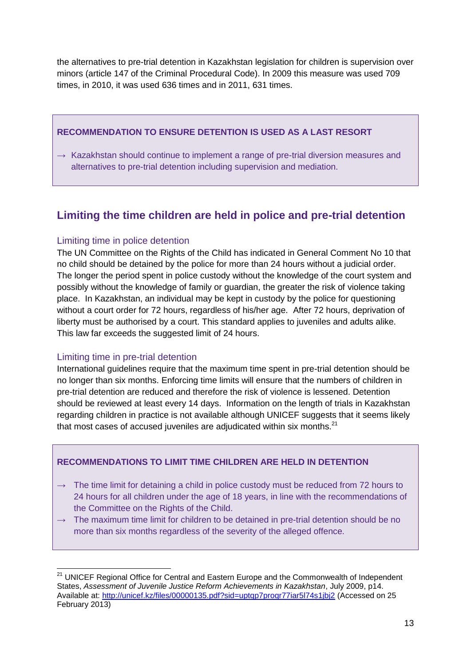the alternatives to pre-trial detention in Kazakhstan legislation for children is supervision over minors (article 147 of the Criminal Procedural Code). In 2009 this measure was used 709 times, in 2010, it was used 636 times and in 2011, 631 times.

## **RECOMMENDATION TO ENSURE DETENTION IS USED AS A LAST RESORT**

 $\rightarrow$  Kazakhstan should continue to implement a range of pre-trial diversion measures and alternatives to pre-trial detention including supervision and mediation.

# <span id="page-12-0"></span>**Limiting the time children are held in police and pre-trial detention**

## Limiting time in police detention

The UN Committee on the Rights of the Child has indicated in General Comment No 10 that no child should be detained by the police for more than 24 hours without a judicial order. The longer the period spent in police custody without the knowledge of the court system and possibly without the knowledge of family or guardian, the greater the risk of violence taking place. In Kazakhstan, an individual may be kept in custody by the police for questioning without a court order for 72 hours, regardless of his/her age. After 72 hours, deprivation of liberty must be authorised by a court. This standard applies to juveniles and adults alike. This law far exceeds the suggested limit of 24 hours.

## Limiting time in pre-trial detention

International guidelines require that the maximum time spent in pre-trial detention should be no longer than six months. Enforcing time limits will ensure that the numbers of children in pre-trial detention are reduced and therefore the risk of violence is lessened. Detention should be reviewed at least every 14 days. Information on the length of trials in Kazakhstan regarding children in practice is not available although UNICEF suggests that it seems likely that most cases of accused juveniles are adjudicated within six months. $^{21}$ 

## **RECOMMENDATIONS TO LIMIT TIME CHILDREN ARE HELD IN DETENTION**

- $\rightarrow$  The time limit for detaining a child in police custody must be reduced from 72 hours to 24 hours for all children under the age of 18 years, in line with the recommendations of the Committee on the Rights of the Child.
- $\rightarrow$  The maximum time limit for children to be detained in pre-trial detention should be no more than six months regardless of the severity of the alleged offence.

<sup>-</sup> $21$  UNICEF Regional Office for Central and Eastern Europe and the Commonwealth of Independent States, *Assessment of Juvenile Justice Reform Achievements in Kazakhstan*, July 2009, p14. Available at:<http://unicef.kz/files/00000135.pdf?sid=uptqp7proqr77iar5l74s1jbj2> (Accessed on 25 February 2013)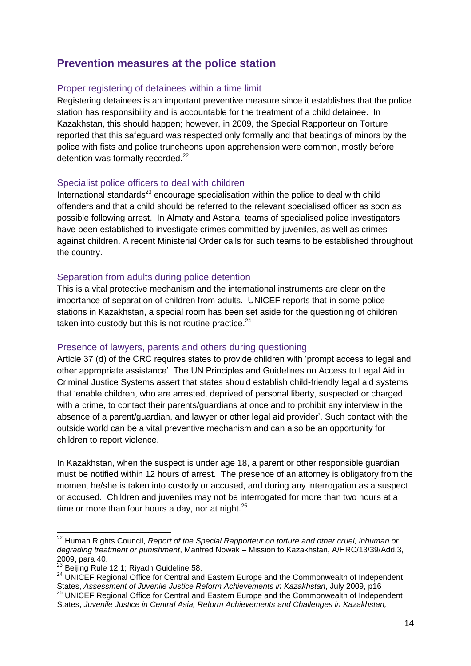## <span id="page-13-0"></span>**Prevention measures at the police station**

#### Proper registering of detainees within a time limit

Registering detainees is an important preventive measure since it establishes that the police station has responsibility and is accountable for the treatment of a child detainee. In Kazakhstan, this should happen; however, in 2009, the Special Rapporteur on Torture reported that this safeguard was respected only formally and that beatings of minors by the police with fists and police truncheons upon apprehension were common, mostly before detention was formally recorded.<sup>22</sup>

#### Specialist police officers to deal with children

International standards $^{23}$  encourage specialisation within the police to deal with child offenders and that a child should be referred to the relevant specialised officer as soon as possible following arrest. In Almaty and Astana, teams of specialised police investigators have been established to investigate crimes committed by juveniles, as well as crimes against children. A recent Ministerial Order calls for such teams to be established throughout the country.

#### Separation from adults during police detention

This is a vital protective mechanism and the international instruments are clear on the importance of separation of children from adults. UNICEF reports that in some police stations in Kazakhstan, a special room has been set aside for the questioning of children taken into custody but this is not routine practice. $24$ 

#### Presence of lawyers, parents and others during questioning

Article 37 (d) of the CRC requires states to provide children with 'prompt access to legal and other appropriate assistance'. The UN Principles and Guidelines on Access to Legal Aid in Criminal Justice Systems assert that states should establish child-friendly legal aid systems that 'enable children, who are arrested, deprived of personal liberty, suspected or charged with a crime, to contact their parents/guardians at once and to prohibit any interview in the absence of a parent/guardian, and lawyer or other legal aid provider'. Such contact with the outside world can be a vital preventive mechanism and can also be an opportunity for children to report violence.

In Kazakhstan, when the suspect is under age 18, a parent or other responsible guardian must be notified within 12 hours of arrest. The presence of an attorney is obligatory from the moment he/she is taken into custody or accused, and during any interrogation as a suspect or accused. Children and juveniles may not be interrogated for more than two hours at a time or more than four hours a day, nor at night. $25$ 

-

<sup>&</sup>lt;sup>22</sup> Human Rights Council, *Report of the Special Rapporteur on torture and other cruel, inhuman or degrading treatment or punishment*, Manfred Nowak – Mission to Kazakhstan, A/HRC/13/39/Add.3, 2009, para 40.

<sup>23</sup> Beijing Rule 12.1; Riyadh Guideline 58.

<sup>24</sup> UNICEF Regional Office for Central and Eastern Europe and the Commonwealth of Independent States, *Assessment of Juvenile Justice Reform Achievements in Kazakhstan*, July 2009, p16 <sup>25</sup> UNICEF Regional Office for Central and Eastern Europe and the Commonwealth of Independent States, *Juvenile Justice in Central Asia, Reform Achievements and Challenges in Kazakhstan,*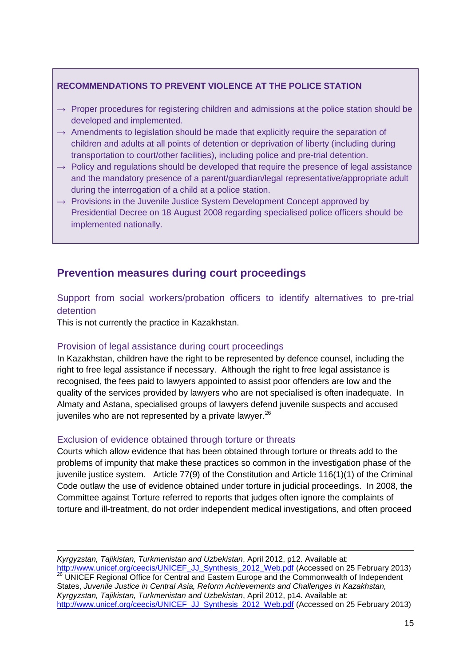## **RECOMMENDATIONS TO PREVENT VIOLENCE AT THE POLICE STATION**

- $\rightarrow$  Proper procedures for registering children and admissions at the police station should be developed and implemented.
- $\rightarrow$  Amendments to legislation should be made that explicitly require the separation of children and adults at all points of detention or deprivation of liberty (including during transportation to court/other facilities), including police and pre-trial detention.
- $\rightarrow$  Policy and regulations should be developed that require the presence of legal assistance and the mandatory presence of a parent/guardian/legal representative/appropriate adult during the interrogation of a child at a police station.
- $\rightarrow$  Provisions in the Juvenile Justice System Development Concept approved by Presidential Decree on 18 August 2008 regarding specialised police officers should be implemented nationally.

## <span id="page-14-0"></span>**Prevention measures during court proceedings**

## Support from social workers/probation officers to identify alternatives to pre-trial detention

This is not currently the practice in Kazakhstan.

## Provision of legal assistance during court proceedings

In Kazakhstan, children have the right to be represented by defence counsel, including the right to free legal assistance if necessary. Although the right to free legal assistance is recognised, the fees paid to lawyers appointed to assist poor offenders are low and the quality of the services provided by lawyers who are not specialised is often inadequate. In Almaty and Astana, specialised groups of lawyers defend juvenile suspects and accused juveniles who are not represented by a private lawyer. $^{26}$ 

## Exclusion of evidence obtained through torture or threats

Courts which allow evidence that has been obtained through torture or threats add to the problems of impunity that make these practices so common in the investigation phase of the juvenile justice system. Article 77(9) of the Constitution and Article 116(1)(1) of the Criminal Code outlaw the use of evidence obtained under torture in judicial proceedings. In 2008, the Committee against Torture referred to reports that judges often ignore the complaints of torture and ill-treatment, do not order independent medical investigations, and often proceed

 $\overline{a}$ *Kyrgyzstan, Tajikistan, Turkmenistan and Uzbekistan*, April 2012, p12. Available at: [http://www.unicef.org/ceecis/UNICEF\\_JJ\\_Synthesis\\_2012\\_Web.pdf](http://www.unicef.org/ceecis/UNICEF_JJ_Synthesis_2012_Web.pdf) (Accessed on 25 February 2013)  $26$  UNICEF Regional Office for Central and Eastern Europe and the Commonwealth of Independent States, *Juvenile Justice in Central Asia, Reform Achievements and Challenges in Kazakhstan, Kyrgyzstan, Tajikistan, Turkmenistan and Uzbekistan*, April 2012, p14. Available at: [http://www.unicef.org/ceecis/UNICEF\\_JJ\\_Synthesis\\_2012\\_Web.pdf](http://www.unicef.org/ceecis/UNICEF_JJ_Synthesis_2012_Web.pdf) (Accessed on 25 February 2013)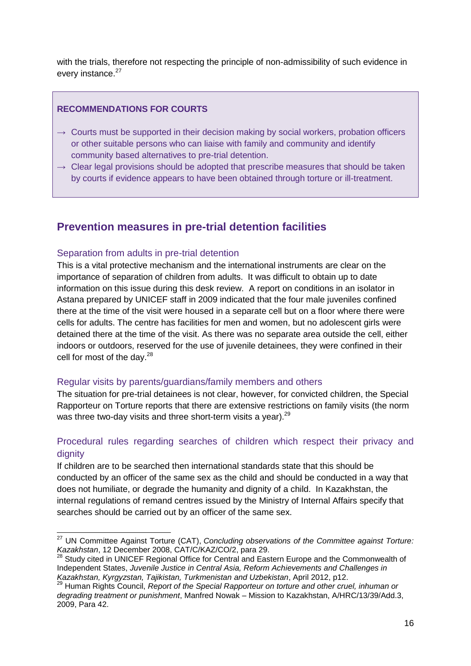with the trials, therefore not respecting the principle of non-admissibility of such evidence in every instance.<sup>27</sup>

## **RECOMMENDATIONS FOR COURTS**

- $\rightarrow$  Courts must be supported in their decision making by social workers, probation officers or other suitable persons who can liaise with family and community and identify community based alternatives to pre-trial detention.
- $\rightarrow$  Clear legal provisions should be adopted that prescribe measures that should be taken by courts if evidence appears to have been obtained through torture or ill-treatment.

## <span id="page-15-0"></span>**Prevention measures in pre-trial detention facilities**

#### Separation from adults in pre-trial detention

This is a vital protective mechanism and the international instruments are clear on the importance of separation of children from adults. It was difficult to obtain up to date information on this issue during this desk review. A report on conditions in an isolator in Astana prepared by UNICEF staff in 2009 indicated that the four male juveniles confined there at the time of the visit were housed in a separate cell but on a floor where there were cells for adults. The centre has facilities for men and women, but no adolescent girls were detained there at the time of the visit. As there was no separate area outside the cell, either indoors or outdoors, reserved for the use of juvenile detainees, they were confined in their cell for most of the day. $^{28}$ 

## Regular visits by parents/guardians/family members and others

The situation for pre-trial detainees is not clear, however, for convicted children, the Special Rapporteur on Torture reports that there are extensive restrictions on family visits (the norm was three two-day visits and three short-term visits a year).<sup>29</sup>

## Procedural rules regarding searches of children which respect their privacy and dignity

If children are to be searched then international standards state that this should be conducted by an officer of the same sex as the child and should be conducted in a way that does not humiliate, or degrade the humanity and dignity of a child. In Kazakhstan, the internal regulations of remand centres issued by the Ministry of Internal Affairs specify that searches should be carried out by an officer of the same sex.

<sup>-</sup><sup>27</sup> UN Committee Against Torture (CAT), *Concluding observations of the Committee against Torture: Kazakhstan*, 12 December 2008, CAT/C/KAZ/CO/2, para 29.

<sup>&</sup>lt;sup>28</sup> Study cited in UNICEF Regional Office for Central and Eastern Europe and the Commonwealth of Independent States, *Juvenile Justice in Central Asia, Reform Achievements and Challenges in Kazakhstan, Kyrgyzstan, Tajikistan, Turkmenistan and Uzbekistan*, April 2012, p12.

<sup>&</sup>lt;sup>9</sup> Human Rights Council, *Report of the Special Rapporteur on torture and other cruel, inhuman or degrading treatment or punishment*, Manfred Nowak – Mission to Kazakhstan, A/HRC/13/39/Add.3, 2009, Para 42.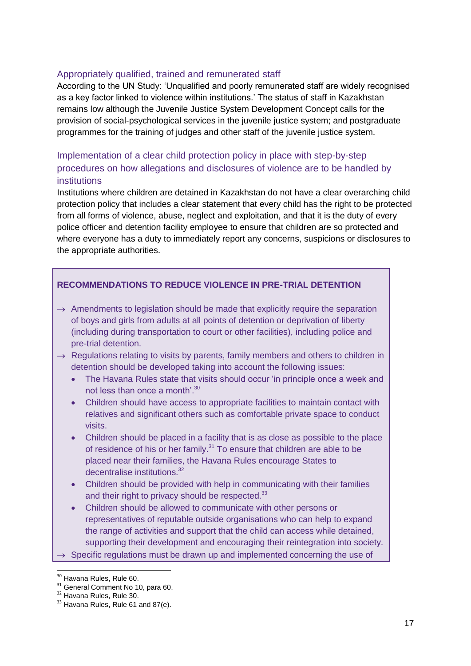#### Appropriately qualified, trained and remunerated staff

According to the UN Study: 'Unqualified and poorly remunerated staff are widely recognised as a key factor linked to violence within institutions.' The status of staff in Kazakhstan remains low although the Juvenile Justice System Development Concept calls for the provision of social-psychological services in the juvenile justice system; and postgraduate programmes for the training of judges and other staff of the juvenile justice system.

## Implementation of a clear child protection policy in place with step-by-step procedures on how allegations and disclosures of violence are to be handled by institutions

Institutions where children are detained in Kazakhstan do not have a clear overarching child protection policy that includes a clear statement that every child has the right to be protected from all forms of violence, abuse, neglect and exploitation, and that it is the duty of every police officer and detention facility employee to ensure that children are so protected and where everyone has a duty to immediately report any concerns, suspicions or disclosures to the appropriate authorities.

## **RECOMMENDATIONS TO REDUCE VIOLENCE IN PRE-TRIAL DETENTION**

- $\rightarrow$  Amendments to legislation should be made that explicitly require the separation of boys and girls from adults at all points of detention or deprivation of liberty (including during transportation to court or other facilities), including police and pre-trial detention.
- $\rightarrow$  Regulations relating to visits by parents, family members and others to children in detention should be developed taking into account the following issues:
	- The Havana Rules state that visits should occur 'in principle once a week and not less than once a month'.<sup>30</sup>
	- Children should have access to appropriate facilities to maintain contact with relatives and significant others such as comfortable private space to conduct visits.
	- Children should be placed in a facility that is as close as possible to the place of residence of his or her family.<sup>31</sup> To ensure that children are able to be placed near their families, the Havana Rules encourage States to decentralise institutions.<sup>32</sup>
	- Children should be provided with help in communicating with their families and their right to privacy should be respected.<sup>33</sup>
	- Children should be allowed to communicate with other persons or representatives of reputable outside organisations who can help to expand the range of activities and support that the child can access while detained, supporting their development and encouraging their reintegration into society.

 $\rightarrow$  Specific regulations must be drawn up and implemented concerning the use of

<sup>-</sup><sup>30</sup> Havana Rules, Rule 60.

<sup>&</sup>lt;sup>31</sup> General Comment No 10, para 60.

<sup>&</sup>lt;sup>32</sup> Havana Rules, Rule 30.

<sup>&</sup>lt;sup>33</sup> Havana Rules, Rule 61 and 87(e).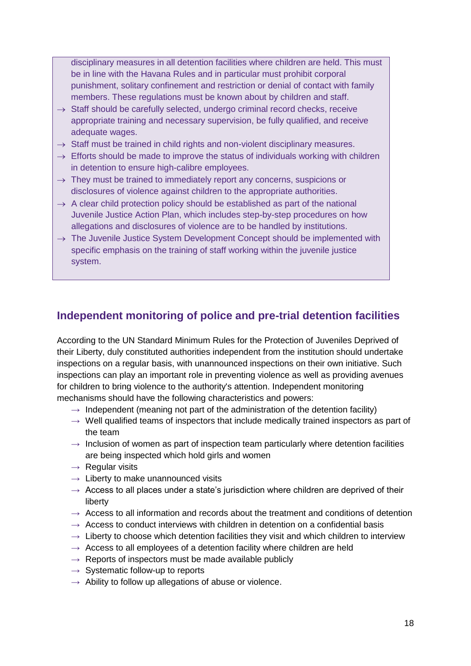disciplinary measures in all detention facilities where children are held. This must be in line with the Havana Rules and in particular must prohibit corporal punishment, solitary confinement and restriction or denial of contact with family members. These regulations must be known about by children and staff.

- $\rightarrow$  Staff should be carefully selected, undergo criminal record checks, receive appropriate training and necessary supervision, be fully qualified, and receive adequate wages.
- $\rightarrow$  Staff must be trained in child rights and non-violent disciplinary measures.
- $\rightarrow$  Efforts should be made to improve the status of individuals working with children in detention to ensure high-calibre employees.
- $\rightarrow$  They must be trained to immediately report any concerns, suspicions or disclosures of violence against children to the appropriate authorities.
- $\rightarrow$  A clear child protection policy should be established as part of the national Juvenile Justice Action Plan, which includes step-by-step procedures on how allegations and disclosures of violence are to be handled by institutions.
- $\rightarrow$  The Juvenile Justice System Development Concept should be implemented with specific emphasis on the training of staff working within the juvenile justice system.

## <span id="page-17-0"></span>**Independent monitoring of police and pre-trial detention facilities**

According to the UN Standard Minimum Rules for the Protection of Juveniles Deprived of their Liberty, duly constituted authorities independent from the institution should undertake inspections on a regular basis, with unannounced inspections on their own initiative. Such inspections can play an important role in preventing violence as well as providing avenues for children to bring violence to the authority's attention. Independent monitoring mechanisms should have the following characteristics and powers:

- $\rightarrow$  Independent (meaning not part of the administration of the detention facility)
- $\rightarrow$  Well qualified teams of inspectors that include medically trained inspectors as part of the team
- $\rightarrow$  Inclusion of women as part of inspection team particularly where detention facilities are being inspected which hold girls and women
- $\rightarrow$  Regular visits
- $\rightarrow$  Liberty to make unannounced visits
- $\rightarrow$  Access to all places under a state's jurisdiction where children are deprived of their liberty
- $\rightarrow$  Access to all information and records about the treatment and conditions of detention
- $\rightarrow$  Access to conduct interviews with children in detention on a confidential basis
- $\rightarrow$  Liberty to choose which detention facilities they visit and which children to interview
- $\rightarrow$  Access to all employees of a detention facility where children are held
- $\rightarrow$  Reports of inspectors must be made available publicly
- $\rightarrow$  Systematic follow-up to reports
- $\rightarrow$  Ability to follow up allegations of abuse or violence.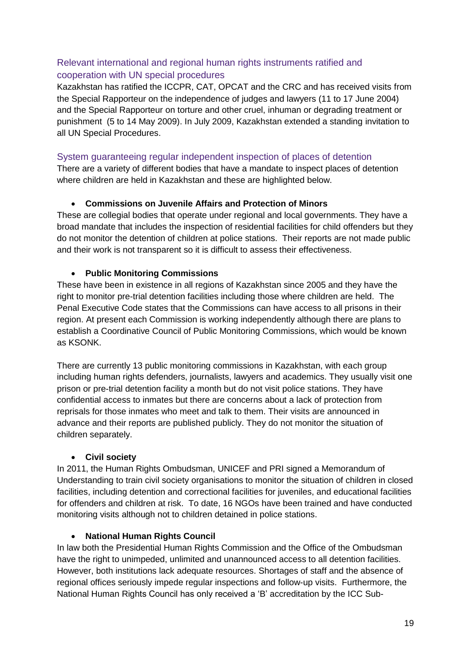## Relevant international and regional human rights instruments ratified and cooperation with UN special procedures

Kazakhstan has ratified the ICCPR, CAT, OPCAT and the CRC and has received visits from the Special Rapporteur on the independence of judges and lawyers (11 to 17 June 2004) and the Special Rapporteur on torture and other cruel, inhuman or degrading treatment or punishment (5 to 14 May 2009). In July 2009, Kazakhstan extended a standing invitation to all UN Special Procedures.

## System guaranteeing regular independent inspection of places of detention

There are a variety of different bodies that have a mandate to inspect places of detention where children are held in Kazakhstan and these are highlighted below.

## **Commissions on Juvenile Affairs and Protection of Minors**

These are collegial bodies that operate under regional and local governments. They have a broad mandate that includes the inspection of residential facilities for child offenders but they do not monitor the detention of children at police stations. Their reports are not made public and their work is not transparent so it is difficult to assess their effectiveness.

## **Public Monitoring Commissions**

These have been in existence in all regions of Kazakhstan since 2005 and they have the right to monitor pre-trial detention facilities including those where children are held. The Penal Executive Code states that the Commissions can have access to all prisons in their region. At present each Commission is working independently although there are plans to establish a Coordinative Council of Public Monitoring Commissions, which would be known as KSONK.

There are currently 13 public monitoring commissions in Kazakhstan, with each group including human rights defenders, journalists, lawyers and academics. They usually visit one prison or pre-trial detention facility a month but do not visit police stations. They have confidential access to inmates but there are concerns about a lack of protection from reprisals for those inmates who meet and talk to them. Their visits are announced in advance and their reports are published publicly. They do not monitor the situation of children separately.

## **Civil society**

In 2011, the Human Rights Ombudsman, UNICEF and PRI signed a Memorandum of Understanding to train civil society organisations to monitor the situation of children in closed facilities, including detention and correctional facilities for juveniles, and educational facilities for offenders and children at risk. To date, 16 NGOs have been trained and have conducted monitoring visits although not to children detained in police stations.

## **National Human Rights Council**

In law both the Presidential Human Rights Commission and the Office of the Ombudsman have the right to unimpeded, unlimited and unannounced access to all detention facilities. However, both institutions lack adequate resources. Shortages of staff and the absence of regional offices seriously impede regular inspections and follow-up visits. Furthermore, the National Human Rights Council has only received a 'B' accreditation by the ICC Sub-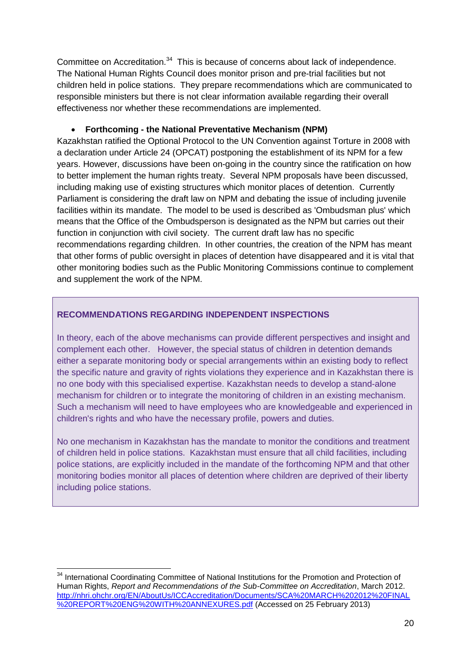Committee on Accreditation.<sup>34</sup> This is because of concerns about lack of independence. The National Human Rights Council does monitor prison and pre-trial facilities but not children held in police stations. They prepare recommendations which are communicated to responsible ministers but there is not clear information available regarding their overall effectiveness nor whether these recommendations are implemented.

#### **Forthcoming - the National Preventative Mechanism (NPM)**

Kazakhstan ratified the Optional Protocol to the UN Convention against Torture in 2008 with a declaration under Article 24 (OPCAT) postponing the establishment of its NPM for a few years. However, discussions have been on-going in the country since the ratification on how to better implement the human rights treaty. Several NPM proposals have been discussed, including making use of existing structures which monitor places of detention. Currently Parliament is considering the draft law on NPM and debating the issue of including juvenile facilities within its mandate. The model to be used is described as 'Ombudsman plus' which means that the Office of the Ombudsperson is designated as the NPM but carries out their function in conjunction with civil society. The current draft law has no specific recommendations regarding children. In other countries, the creation of the NPM has meant that other forms of public oversight in places of detention have disappeared and it is vital that other monitoring bodies such as the Public Monitoring Commissions continue to complement and supplement the work of the NPM.

## **RECOMMENDATIONS REGARDING INDEPENDENT INSPECTIONS**

In theory, each of the above mechanisms can provide different perspectives and insight and complement each other. However, the special status of children in detention demands either a separate monitoring body or special arrangements within an existing body to reflect the specific nature and gravity of rights violations they experience and in Kazakhstan there is no one body with this specialised expertise. Kazakhstan needs to develop a stand-alone mechanism for children or to integrate the monitoring of children in an existing mechanism. Such a mechanism will need to have employees who are knowledgeable and experienced in children's rights and who have the necessary profile, powers and duties.

No one mechanism in Kazakhstan has the mandate to monitor the conditions and treatment of children held in police stations. Kazakhstan must ensure that all child facilities, including police stations, are explicitly included in the mandate of the forthcoming NPM and that other monitoring bodies monitor all places of detention where children are deprived of their liberty including police stations.

-

<sup>&</sup>lt;sup>34</sup> International Coordinating Committee of National Institutions for the Promotion and Protection of Human Rights, *Report and Recommendations of the Sub-Committee on Accreditation*, March 2012. [http://nhri.ohchr.org/EN/AboutUs/ICCAccreditation/Documents/SCA%20MARCH%202012%20FINAL](http://nhri.ohchr.org/EN/AboutUs/ICCAccreditation/Documents/SCA%20MARCH%202012%20FINAL%20REPORT%20ENG%20WITH%20ANNEXURES.pdf) [%20REPORT%20ENG%20WITH%20ANNEXURES.pdf](http://nhri.ohchr.org/EN/AboutUs/ICCAccreditation/Documents/SCA%20MARCH%202012%20FINAL%20REPORT%20ENG%20WITH%20ANNEXURES.pdf) (Accessed on 25 February 2013)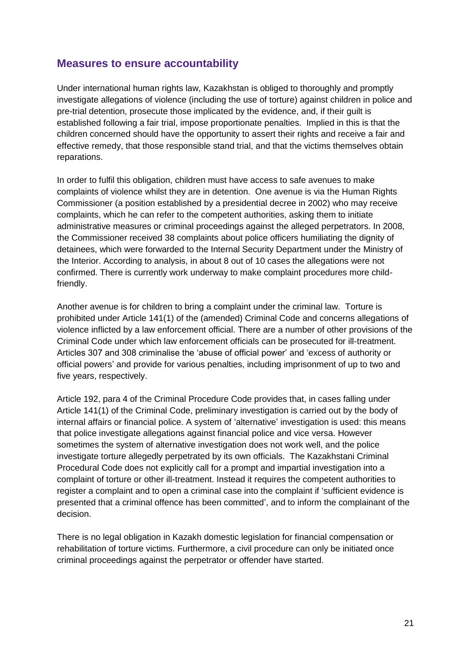## <span id="page-20-0"></span>**Measures to ensure accountability**

Under international human rights law, Kazakhstan is obliged to thoroughly and promptly investigate allegations of violence (including the use of torture) against children in police and pre-trial detention, prosecute those implicated by the evidence, and, if their guilt is established following a fair trial, impose proportionate penalties. Implied in this is that the children concerned should have the opportunity to assert their rights and receive a fair and effective remedy, that those responsible stand trial, and that the victims themselves obtain reparations.

In order to fulfil this obligation, children must have access to safe avenues to make complaints of violence whilst they are in detention. One avenue is via the Human Rights Commissioner (a position established by a presidential decree in 2002) who may receive complaints, which he can refer to the competent authorities, asking them to initiate administrative measures or criminal proceedings against the alleged perpetrators. In 2008, the Commissioner received 38 complaints about police officers humiliating the dignity of detainees, which were forwarded to the Internal Security Department under the Ministry of the Interior. According to analysis, in about 8 out of 10 cases the allegations were not confirmed. There is currently work underway to make complaint procedures more childfriendly.

Another avenue is for children to bring a complaint under the criminal law. Torture is prohibited under Article 141(1) of the (amended) Criminal Code and concerns allegations of violence inflicted by a law enforcement official. There are a number of other provisions of the Criminal Code under which law enforcement officials can be prosecuted for ill-treatment. Articles 307 and 308 criminalise the 'abuse of official power' and 'excess of authority or official powers' and provide for various penalties, including imprisonment of up to two and five years, respectively.

Article 192, para 4 of the Criminal Procedure Code provides that, in cases falling under Article 141(1) of the Criminal Code, preliminary investigation is carried out by the body of internal affairs or financial police. A system of 'alternative' investigation is used: this means that police investigate allegations against financial police and vice versa. However sometimes the system of alternative investigation does not work well, and the police investigate torture allegedly perpetrated by its own officials. The Kazakhstani Criminal Procedural Code does not explicitly call for a prompt and impartial investigation into a complaint of torture or other ill-treatment. Instead it requires the competent authorities to register a complaint and to open a criminal case into the complaint if 'sufficient evidence is presented that a criminal offence has been committed', and to inform the complainant of the decision.

There is no legal obligation in Kazakh domestic legislation for financial compensation or rehabilitation of torture victims. Furthermore, a civil procedure can only be initiated once criminal proceedings against the perpetrator or offender have started.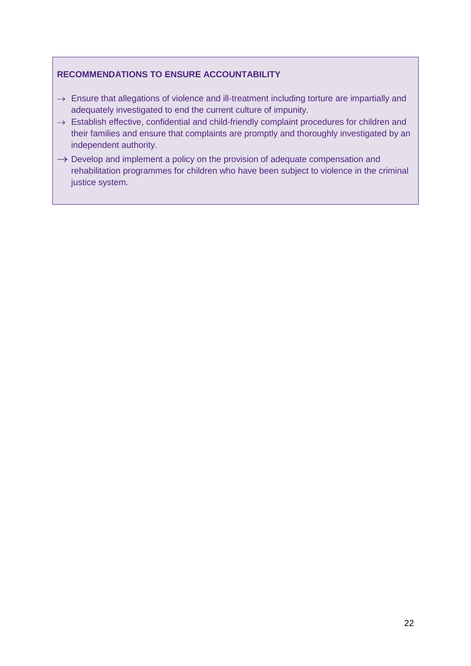## **RECOMMENDATIONS TO ENSURE ACCOUNTABILITY**

- $\rightarrow$  Ensure that allegations of violence and ill-treatment including torture are impartially and adequately investigated to end the current culture of impunity.
- $\rightarrow$  Establish effective, confidential and child-friendly complaint procedures for children and their families and ensure that complaints are promptly and thoroughly investigated by an independent authority.
- $\rightarrow$  Develop and implement a policy on the provision of adequate compensation and rehabilitation programmes for children who have been subject to violence in the criminal justice system.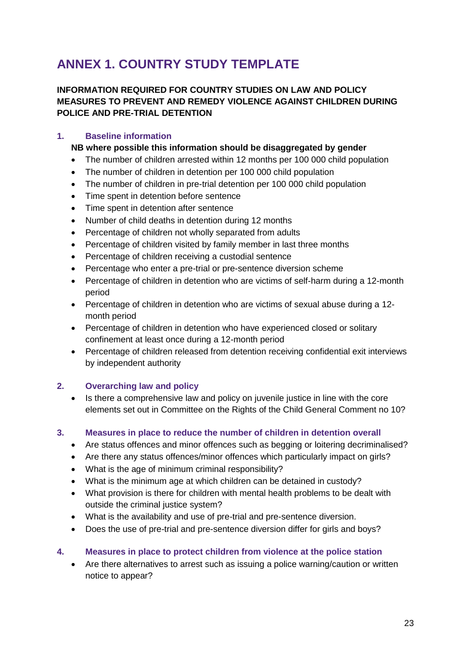# <span id="page-22-0"></span>**ANNEX 1. COUNTRY STUDY TEMPLATE**

## **INFORMATION REQUIRED FOR COUNTRY STUDIES ON LAW AND POLICY MEASURES TO PREVENT AND REMEDY VIOLENCE AGAINST CHILDREN DURING POLICE AND PRE-TRIAL DETENTION**

## **1. Baseline information**

## **NB where possible this information should be disaggregated by gender**

- The number of children arrested within 12 months per 100 000 child population
- The number of children in detention per 100 000 child population
- The number of children in pre-trial detention per 100 000 child population
- Time spent in detention before sentence
- Time spent in detention after sentence
- Number of child deaths in detention during 12 months
- Percentage of children not wholly separated from adults
- Percentage of children visited by family member in last three months
- Percentage of children receiving a custodial sentence
- Percentage who enter a pre-trial or pre-sentence diversion scheme
- Percentage of children in detention who are victims of self-harm during a 12-month period
- Percentage of children in detention who are victims of sexual abuse during a 12 month period
- Percentage of children in detention who have experienced closed or solitary confinement at least once during a 12-month period
- Percentage of children released from detention receiving confidential exit interviews by independent authority

## **2. Overarching law and policy**

 Is there a comprehensive law and policy on juvenile justice in line with the core elements set out in Committee on the Rights of the Child General Comment no 10?

## **3. Measures in place to reduce the number of children in detention overall**

- Are status offences and minor offences such as begging or loitering decriminalised?
- Are there any status offences/minor offences which particularly impact on girls?
- What is the age of minimum criminal responsibility?
- What is the minimum age at which children can be detained in custody?
- What provision is there for children with mental health problems to be dealt with outside the criminal justice system?
- What is the availability and use of pre-trial and pre-sentence diversion.
- Does the use of pre-trial and pre-sentence diversion differ for girls and boys?

## **4. Measures in place to protect children from violence at the police station**

 Are there alternatives to arrest such as issuing a police warning/caution or written notice to appear?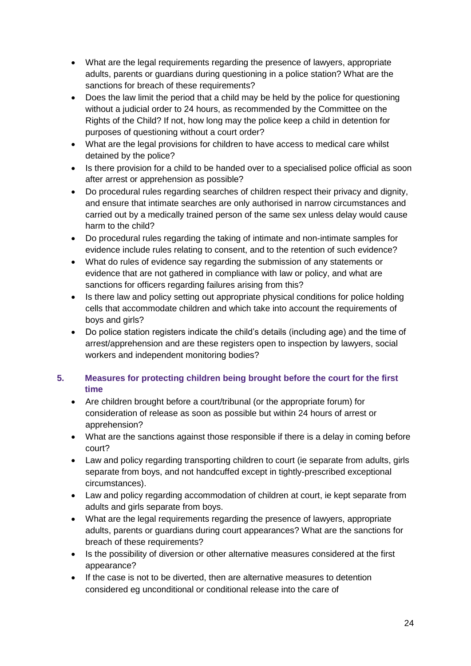- What are the legal requirements regarding the presence of lawyers, appropriate adults, parents or guardians during questioning in a police station? What are the sanctions for breach of these requirements?
- Does the law limit the period that a child may be held by the police for questioning without a judicial order to 24 hours, as recommended by the Committee on the Rights of the Child? If not, how long may the police keep a child in detention for purposes of questioning without a court order?
- What are the legal provisions for children to have access to medical care whilst detained by the police?
- Is there provision for a child to be handed over to a specialised police official as soon after arrest or apprehension as possible?
- Do procedural rules regarding searches of children respect their privacy and dignity, and ensure that intimate searches are only authorised in narrow circumstances and carried out by a medically trained person of the same sex unless delay would cause harm to the child?
- Do procedural rules regarding the taking of intimate and non-intimate samples for evidence include rules relating to consent, and to the retention of such evidence?
- What do rules of evidence say regarding the submission of any statements or evidence that are not gathered in compliance with law or policy, and what are sanctions for officers regarding failures arising from this?
- Is there law and policy setting out appropriate physical conditions for police holding cells that accommodate children and which take into account the requirements of boys and girls?
- Do police station registers indicate the child's details (including age) and the time of arrest/apprehension and are these registers open to inspection by lawyers, social workers and independent monitoring bodies?

## **5. Measures for protecting children being brought before the court for the first time**

- Are children brought before a court/tribunal (or the appropriate forum) for consideration of release as soon as possible but within 24 hours of arrest or apprehension?
- What are the sanctions against those responsible if there is a delay in coming before court?
- Law and policy regarding transporting children to court (ie separate from adults, girls separate from boys, and not handcuffed except in tightly-prescribed exceptional circumstances).
- Law and policy regarding accommodation of children at court, ie kept separate from adults and girls separate from boys.
- What are the legal requirements regarding the presence of lawyers, appropriate adults, parents or guardians during court appearances? What are the sanctions for breach of these requirements?
- Is the possibility of diversion or other alternative measures considered at the first appearance?
- If the case is not to be diverted, then are alternative measures to detention considered eg unconditional or conditional release into the care of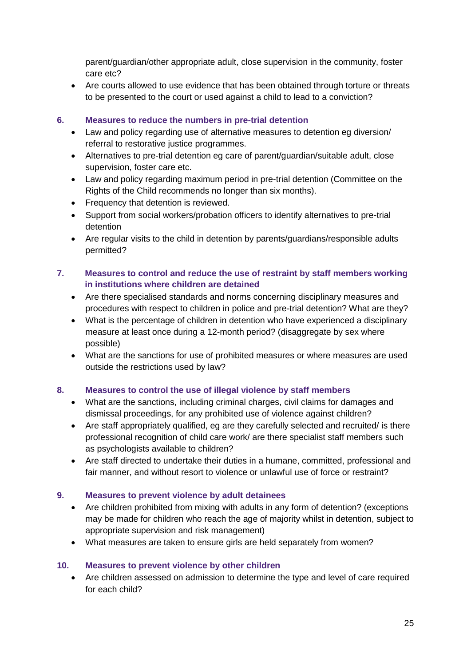parent/guardian/other appropriate adult, close supervision in the community, foster care etc?

 Are courts allowed to use evidence that has been obtained through torture or threats to be presented to the court or used against a child to lead to a conviction?

## **6. Measures to reduce the numbers in pre-trial detention**

- Law and policy regarding use of alternative measures to detention eg diversion/ referral to restorative justice programmes.
- Alternatives to pre-trial detention eg care of parent/guardian/suitable adult, close supervision, foster care etc.
- Law and policy regarding maximum period in pre-trial detention (Committee on the Rights of the Child recommends no longer than six months).
- Frequency that detention is reviewed.
- Support from social workers/probation officers to identify alternatives to pre-trial detention
- Are regular visits to the child in detention by parents/guardians/responsible adults permitted?

## **7. Measures to control and reduce the use of restraint by staff members working in institutions where children are detained**

- Are there specialised standards and norms concerning disciplinary measures and procedures with respect to children in police and pre-trial detention? What are they?
- What is the percentage of children in detention who have experienced a disciplinary measure at least once during a 12-month period? (disaggregate by sex where possible)
- What are the sanctions for use of prohibited measures or where measures are used outside the restrictions used by law?

## **8. Measures to control the use of illegal violence by staff members**

- What are the sanctions, including criminal charges, civil claims for damages and dismissal proceedings, for any prohibited use of violence against children?
- Are staff appropriately qualified, eg are they carefully selected and recruited/ is there professional recognition of child care work/ are there specialist staff members such as psychologists available to children?
- Are staff directed to undertake their duties in a humane, committed, professional and fair manner, and without resort to violence or unlawful use of force or restraint?

## **9. Measures to prevent violence by adult detainees**

- Are children prohibited from mixing with adults in any form of detention? (exceptions may be made for children who reach the age of majority whilst in detention, subject to appropriate supervision and risk management)
- What measures are taken to ensure girls are held separately from women?

## **10. Measures to prevent violence by other children**

 Are children assessed on admission to determine the type and level of care required for each child?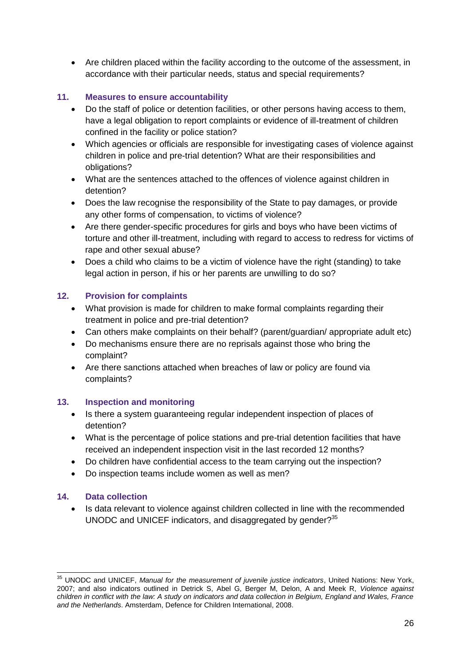Are children placed within the facility according to the outcome of the assessment, in accordance with their particular needs, status and special requirements?

## **11. Measures to ensure accountability**

- Do the staff of police or detention facilities, or other persons having access to them, have a legal obligation to report complaints or evidence of ill-treatment of children confined in the facility or police station?
- Which agencies or officials are responsible for investigating cases of violence against children in police and pre-trial detention? What are their responsibilities and obligations?
- What are the sentences attached to the offences of violence against children in detention?
- Does the law recognise the responsibility of the State to pay damages, or provide any other forms of compensation, to victims of violence?
- Are there gender-specific procedures for girls and boys who have been victims of torture and other ill-treatment, including with regard to access to redress for victims of rape and other sexual abuse?
- Does a child who claims to be a victim of violence have the right (standing) to take legal action in person, if his or her parents are unwilling to do so?

## **12. Provision for complaints**

- What provision is made for children to make formal complaints regarding their treatment in police and pre-trial detention?
- Can others make complaints on their behalf? (parent/guardian/ appropriate adult etc)
- Do mechanisms ensure there are no reprisals against those who bring the complaint?
- Are there sanctions attached when breaches of law or policy are found via complaints?

## **13. Inspection and monitoring**

- Is there a system guaranteeing regular independent inspection of places of detention?
- What is the percentage of police stations and pre-trial detention facilities that have received an independent inspection visit in the last recorded 12 months?
- Do children have confidential access to the team carrying out the inspection?
- Do inspection teams include women as well as men?

## **14. Data collection**

-

 Is data relevant to violence against children collected in line with the recommended UNODC and UNICEF indicators, and disaggregated by gender?<sup>35</sup>

<sup>35</sup> UNODC and UNICEF, *Manual for the measurement of juvenile justice indicators*, United Nations: New York, 2007; and also indicators outlined in Detrick S, Abel G, Berger M, Delon, A and Meek R, *Violence against children in conflict with the law: A study on indicators and data collection in Belgium, England and Wales, France and the Netherlands*. Amsterdam, Defence for Children International, 2008.